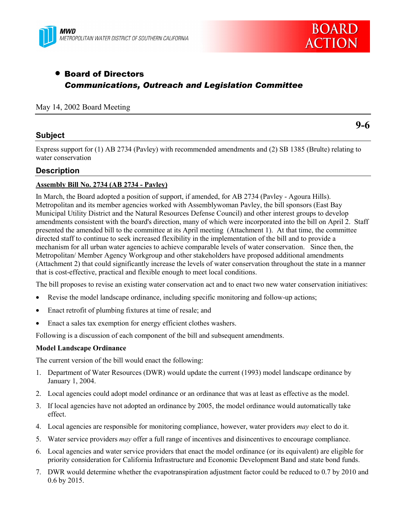



# • Board of Directors *Communications, Outreach and Legislation Committee*

### May 14, 2002 Board Meeting

### **Subject**

Express support for (1) AB 2734 (Pavley) with recommended amendments and (2) SB 1385 (Brulte) relating to water conservation

### **Description**

### **Assembly Bill No. 2734 (AB 2734 - Pavley)**

In March, the Board adopted a position of support, if amended, for AB 2734 (Pavley - Agoura Hills). Metropolitan and its member agencies worked with Assemblywoman Pavley, the bill sponsors (East Bay Municipal Utility District and the Natural Resources Defense Council) and other interest groups to develop amendments consistent with the board's direction, many of which were incorporated into the bill on April 2. Staff presented the amended bill to the committee at its April meeting (Attachment 1). At that time, the committee directed staff to continue to seek increased flexibility in the implementation of the bill and to provide a mechanism for all urban water agencies to achieve comparable levels of water conservation. Since then, the Metropolitan/ Member Agency Workgroup and other stakeholders have proposed additional amendments (Attachment 2) that could significantly increase the levels of water conservation throughout the state in a manner that is cost-effective, practical and flexible enough to meet local conditions.

The bill proposes to revise an existing water conservation act and to enact two new water conservation initiatives:

- Revise the model landscape ordinance, including specific monitoring and follow-up actions;
- Enact retrofit of plumbing fixtures at time of resale; and
- Enact a sales tax exemption for energy efficient clothes washers.

Following is a discussion of each component of the bill and subsequent amendments.

### **Model Landscape Ordinance**

The current version of the bill would enact the following:

- 1. Department of Water Resources (DWR) would update the current (1993) model landscape ordinance by January 1, 2004.
- 2. Local agencies could adopt model ordinance or an ordinance that was at least as effective as the model.
- 3. If local agencies have not adopted an ordinance by 2005, the model ordinance would automatically take effect.
- 4. Local agencies are responsible for monitoring compliance, however, water providers *may* elect to do it.
- 5. Water service providers *may* offer a full range of incentives and disincentives to encourage compliance.
- 6. Local agencies and water service providers that enact the model ordinance (or its equivalent) are eligible for priority consideration for California Infrastructure and Economic Development Band and state bond funds.
- 7. DWR would determine whether the evapotranspiration adjustment factor could be reduced to 0.7 by 2010 and 0.6 by 2015.

**9-6**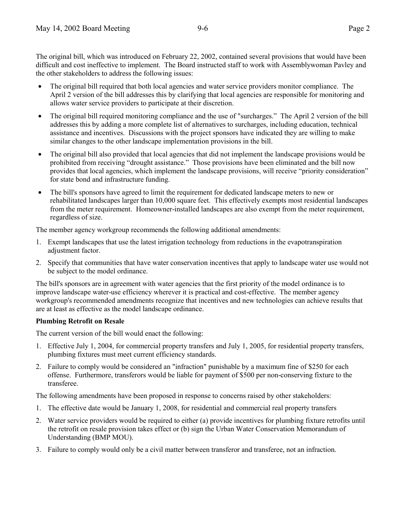- The original bill required that both local agencies and water service providers monitor compliance. The April 2 version of the bill addresses this by clarifying that local agencies are responsible for monitoring and allows water service providers to participate at their discretion.
- The original bill required monitoring compliance and the use of "surcharges." The April 2 version of the bill addresses this by adding a more complete list of alternatives to surcharges, including education, technical assistance and incentives. Discussions with the project sponsors have indicated they are willing to make similar changes to the other landscape implementation provisions in the bill.
- The original bill also provided that local agencies that did not implement the landscape provisions would be prohibited from receiving "drought assistance." Those provisions have been eliminated and the bill now provides that local agencies, which implement the landscape provisions, will receive "priority consideration" for state bond and infrastructure funding.
- The bill's sponsors have agreed to limit the requirement for dedicated landscape meters to new or rehabilitated landscapes larger than 10,000 square feet. This effectively exempts most residential landscapes from the meter requirement. Homeowner-installed landscapes are also exempt from the meter requirement, regardless of size.

The member agency workgroup recommends the following additional amendments:

- 1. Exempt landscapes that use the latest irrigation technology from reductions in the evapotranspiration adjustment factor.
- 2. Specify that communities that have water conservation incentives that apply to landscape water use would not be subject to the model ordinance.

The bill's sponsors are in agreement with water agencies that the first priority of the model ordinance is to improve landscape water-use efficiency wherever it is practical and cost-effective. The member agency workgroup's recommended amendments recognize that incentives and new technologies can achieve results that are at least as effective as the model landscape ordinance.

### **Plumbing Retrofit on Resale**

The current version of the bill would enact the following:

- 1. Effective July 1, 2004, for commercial property transfers and July 1, 2005, for residential property transfers, plumbing fixtures must meet current efficiency standards.
- 2. Failure to comply would be considered an "infraction" punishable by a maximum fine of \$250 for each offense. Furthermore, transferors would be liable for payment of \$500 per non-conserving fixture to the transferee.

The following amendments have been proposed in response to concerns raised by other stakeholders:

- 1. The effective date would be January 1, 2008, for residential and commercial real property transfers
- 2. Water service providers would be required to either (a) provide incentives for plumbing fixture retrofits until the retrofit on resale provision takes effect or (b) sign the Urban Water Conservation Memorandum of Understanding (BMP MOU).
- 3. Failure to comply would only be a civil matter between transferor and transferee, not an infraction.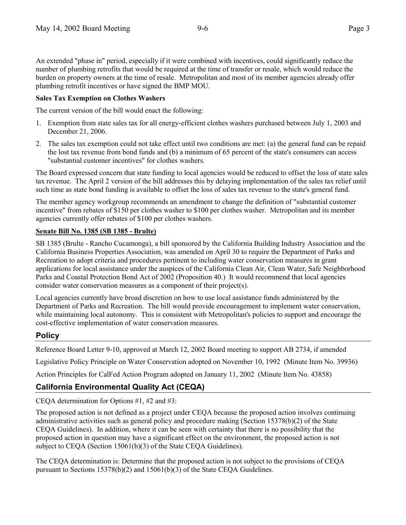An extended "phase in" period, especially if it were combined with incentives, could significantly reduce the number of plumbing retrofits that would be required at the time of transfer or resale, which would reduce the burden on property owners at the time of resale. Metropolitan and most of its member agencies already offer plumbing retrofit incentives or have signed the BMP MOU.

### **Sales Tax Exemption on Clothes Washers**

The current version of the bill would enact the following:

- 1. Exemption from state sales tax for all energy-efficient clothes washers purchased between July 1, 2003 and December 21, 2006.
- 2. The sales tax exemption could not take effect until two conditions are met: (a) the general fund can be repaid the lost tax revenue from bond funds and (b) a minimum of 65 percent of the state's consumers can access "substantial customer incentives" for clothes washers.

The Board expressed concern that state funding to local agencies would be reduced to offset the loss of state sales tax revenue. The April 2 version of the bill addresses this by delaying implementation of the sales tax relief until such time as state bond funding is available to offset the loss of sales tax revenue to the state's general fund.

The member agency workgroup recommends an amendment to change the definition of "substantial customer incentive" from rebates of \$150 per clothes washer to \$100 per clothes washer. Metropolitan and its member agencies currently offer rebates of \$100 per clothes washers.

### **Senate Bill No. 1385 (SB 1385 - Brulte)**

SB 1385 (Brulte - Rancho Cucamonga), a bill sponsored by the California Building Industry Association and the California Business Properties Association, was amended on April 30 to require the Department of Parks and Recreation to adopt criteria and procedures pertinent to including water conservation measures in grant applications for local assistance under the auspices of the California Clean Air, Clean Water, Safe Neighborhood Parks and Coastal Protection Bond Act of 2002 (Proposition 40.) It would recommend that local agencies consider water conservation measures as a component of their project(s).

Local agencies currently have broad discretion on how to use local assistance funds administered by the Department of Parks and Recreation. The bill would provide encouragement to implement water conservation, while maintaining local autonomy. This is consistent with Metropolitan's policies to support and encourage the cost-effective implementation of water conservation measures.

# **Policy**

Reference Board Letter 9-10, approved at March 12, 2002 Board meeting to support AB 2734, if amended

Legislative Policy Principle on Water Conservation adopted on November 10, 1992 (Minute Item No. 39936)

Action Principles for CalFed Action Program adopted on January 11, 2002 (Minute Item No. 43858)

# **California Environmental Quality Act (CEQA)**

CEQA determination for Options #1, #2 and #3:

The proposed action is not defined as a project under CEQA because the proposed action involves continuing administrative activities such as general policy and procedure making (Section 15378(b)(2) of the State CEQA Guidelines). In addition, where it can be seen with certainty that there is no possibility that the proposed action in question may have a significant effect on the environment, the proposed action is not subject to CEQA (Section 15061(b)(3) of the State CEQA Guidelines).

The CEQA determination is: Determine that the proposed action is not subject to the provisions of CEQA pursuant to Sections 15378(b)(2) and 15061(b)(3) of the State CEQA Guidelines.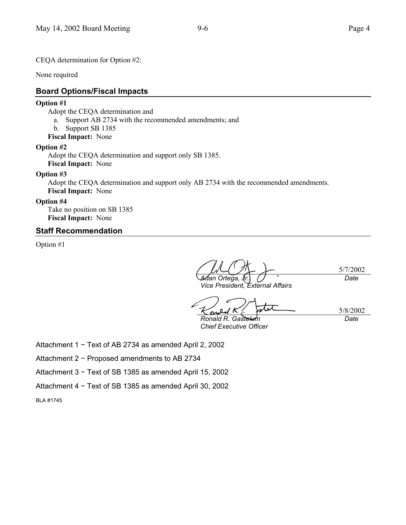CEQA determination for Option #2:

None required

### **Board Options/Fiscal Impacts**

### **Option #1**

Adopt the CEQA determination and

- a. Support AB 2734 with the recommended amendments; and
- b. Support SB 1385
- **Fiscal Impact:** None

### **Option #2**

Adopt the CEQA determination and support only SB 1385. **Fiscal Impact:** None

### **Option #3**

Adopt the CEQA determination and support only AB 2734 with the recommended amendments. **Fiscal Impact:** None

### **Option #4**

Take no position on SB 1385 **Fiscal Impact:** None

### **Staff Recommendation**

Option #1

5/7/2002 *Adan Ortega, Jr. Date*

ひス

*Vice President, External Affairs*

5/8/2002 *Date*

*Ronald R. Gastelum Chief Executive Officer*

Attachment 1 − Text of AB 2734 as amended April 2, 2002

Attachment 2 − Proposed amendments to AB 2734

Attachment 3 − Text of SB 1385 as amended April 15, 2002

Attachment 4 − Text of SB 1385 as amended April 30, 2002

BLA #1745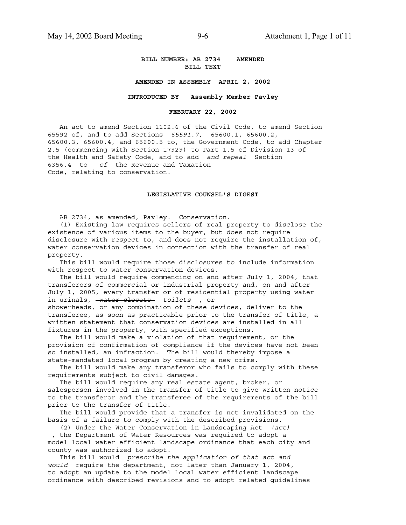#### **BILL NUMBER: AB 2734 AMENDED BILL TEXT**

#### **AMENDED IN ASSEMBLY APRIL 2, 2002**

#### **INTRODUCED BY Assembly Member Pavley**

#### **FEBRUARY 22, 2002**

 An act to amend Section 1102.6 of the Civil Code, to amend Section 65592 of, and to add Sections *65591.7,* 65600.1, 65600.2, 65600.3, 65600.4, and 65600.5 to, the Government Code, to add Chapter 2.5 (commencing with Section 17929) to Part 1.5 of Division 13 of the Health and Safety Code, and to add *and repeal* Section 6356.4 + **to** of the Revenue and Taxation Code, relating to conservation.

#### **LEGISLATIVE COUNSEL'S DIGEST**

AB 2734, as amended, Pavley. Conservation.

 (1) Existing law requires sellers of real property to disclose the existence of various items to the buyer, but does not require disclosure with respect to, and does not require the installation of, water conservation devices in connection with the transfer of real property.

 This bill would require those disclosures to include information with respect to water conservation devices.

 The bill would require commencing on and after July 1, 2004, that transferors of commercial or industrial property and, on and after July 1, 2005, every transfer or of residential property using water in urinals, water closets *toilets* , or showerheads, or any combination of these devices, deliver to the transferee, as soon as practicable prior to the transfer of title, a written statement that conservation devices are installed in all fixtures in the property, with specified exceptions.

 The bill would make a violation of that requirement, or the provision of confirmation of compliance if the devices have not been so installed, an infraction. The bill would thereby impose a state-mandated local program by creating a new crime.

 The bill would make any transferor who fails to comply with these requirements subject to civil damages.

 The bill would require any real estate agent, broker, or salesperson involved in the transfer of title to give written notice to the transferor and the transferee of the requirements of the bill prior to the transfer of title.

 The bill would provide that a transfer is not invalidated on the basis of a failure to comply with the described provisions.

 (2) Under the Water Conservation in Landscaping Act *(act)* , the Department of Water Resources was required to adopt a model local water efficient landscape ordinance that each city and county was authorized to adopt.

 This bill would *prescribe the application of that act and would* require the department, not later than January 1, 2004, to adopt an update to the model local water efficient landscape ordinance with described revisions and to adopt related guidelines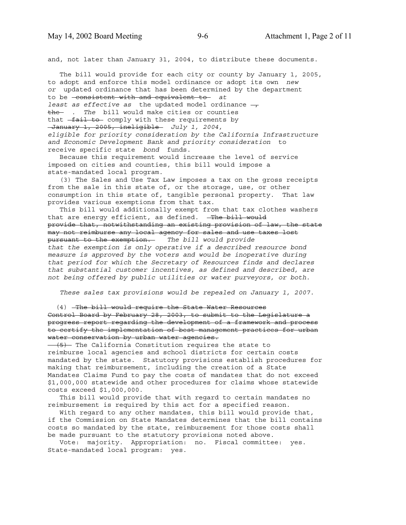and, not later than January 31, 2004, to distribute these documents.

 The bill would provide for each city or county by January 1, 2005, to adopt and enforce this model ordinance or adopt its own *new or* updated ordinance that has been determined by the department to be consistent with and equivalent to *at least as effective as the updated model ordinance*  $\rightarrow$ the *. The* bill would make cities or counties that  $-fail to$  comply with these requirements by January 1, 2005, ineligible *July 1, 2004, eligible for priority consideration by the California Infrastructure and Economic Development Bank and priority consideration* to receive specific state *bond* funds.

 Because this requirement would increase the level of service imposed on cities and counties, this bill would impose a state-mandated local program.

 (3) The Sales and Use Tax Law imposes a tax on the gross receipts from the sale in this state of, or the storage, use, or other consumption in this state of, tangible personal property. That law provides various exemptions from that tax.

 This bill would additionally exempt from that tax clothes washers that are energy efficient, as defined. - The bill would provide that, notwithstanding an existing provision of law, the state may not reimburse any local agency for sales and use taxes lost pursuant to the exemption. *The bill would provide that the exemption is only operative if a described resource bond measure is approved by the voters and would be inoperative during that period for which the Secretary of Resources finds and declares that substantial customer incentives, as defined and described, are not being offered by public utilities or water purveyors, or both.*

 *These sales tax provisions would be repealed on January 1, 2007.*

(4) The bill would require the State Water Resources Control Board by February 28, 2003, to submit to the Legislature a progress report regarding the development of a framework and process to certify the implementation of best management practices for urban water conservation by urban water agencies.

(5) The California Constitution requires the state to reimburse local agencies and school districts for certain costs mandated by the state. Statutory provisions establish procedures for making that reimbursement, including the creation of a State Mandates Claims Fund to pay the costs of mandates that do not exceed \$1,000,000 statewide and other procedures for claims whose statewide costs exceed \$1,000,000.

 This bill would provide that with regard to certain mandates no reimbursement is required by this act for a specified reason.

 With regard to any other mandates, this bill would provide that, if the Commission on State Mandates determines that the bill contains costs so mandated by the state, reimbursement for those costs shall be made pursuant to the statutory provisions noted above.

 Vote: majority. Appropriation: no. Fiscal committee: yes. State-mandated local program: yes.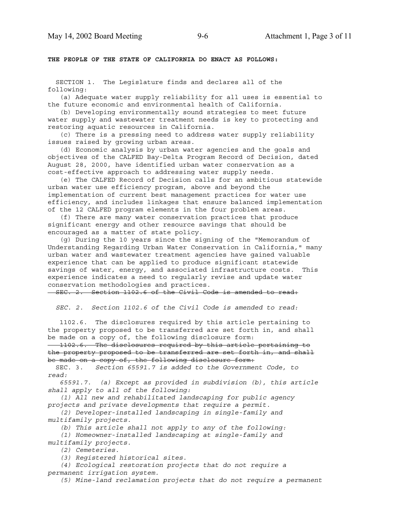#### **THE PEOPLE OF THE STATE OF CALIFORNIA DO ENACT AS FOLLOWS:**

 SECTION 1. The Legislature finds and declares all of the following:

 (a) Adequate water supply reliability for all uses is essential to the future economic and environmental health of California.

 (b) Developing environmentally sound strategies to meet future water supply and wastewater treatment needs is key to protecting and restoring aquatic resources in California.

 (c) There is a pressing need to address water supply reliability issues raised by growing urban areas.

 (d) Economic analysis by urban water agencies and the goals and objectives of the CALFED Bay-Delta Program Record of Decision, dated August 28, 2000, have identified urban water conservation as a cost-effective approach to addressing water supply needs.

 (e) The CALFED Record of Decision calls for an ambitious statewide urban water use efficiency program, above and beyond the implementation of current best management practices for water use efficiency, and includes linkages that ensure balanced implementation of the 12 CALFED program elements in the four problem areas.

 (f) There are many water conservation practices that produce significant energy and other resource savings that should be encouraged as a matter of state policy.

 (g) During the 10 years since the signing of the "Memorandum of Understanding Regarding Urban Water Conservation in California," many urban water and wastewater treatment agencies have gained valuable experience that can be applied to produce significant statewide savings of water, energy, and associated infrastructure costs. This experience indicates a need to regularly revise and update water conservation methodologies and practices.

SEC. 2. Section 1102.6 of the Civil Code is amended to read:

 *SEC. 2. Section 1102.6 of the Civil Code is amended to read:*

 1102.6. The disclosures required by this article pertaining to the property proposed to be transferred are set forth in, and shall be made on a copy of, the following disclosure form:

 1102.6. The disclosures required by this article pertaining to the property proposed to be transferred are set forth in, and shall be made on a copy of, the following disclosure form:

 SEC. 3. *Section 65591.7 is added to the Government Code, to read:*

 *65591.7. (a) Except as provided in subdivision (b), this article shall apply to all of the following:*

 *(1) All new and rehabilitated landscaping for public agency projects and private developments that require a permit.*

 *(2) Developer-installed landscaping in single-family and multifamily projects.*

 *(b) This article shall not apply to any of the following: (1) Homeowner-installed landscaping at single-family and multifamily projects.*

 *(2) Cemeteries.*

 *(3) Registered historical sites.*

 *(4) Ecological restoration projects that do not require a permanent irrigation system.*

 *(5) Mine-land reclamation projects that do not require a permanent*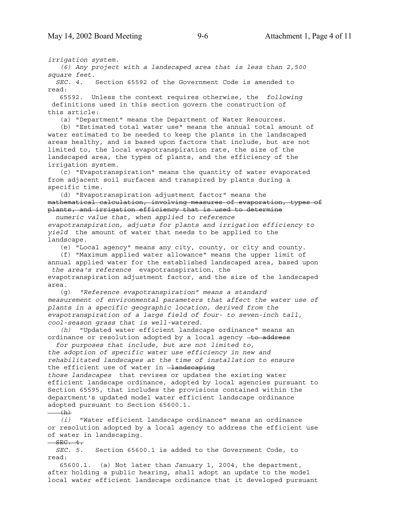*irrigation system.*

 *(6) Any project with a landscaped area that is less than 2,500 square feet.*

 *SEC. 4.* Section 65592 of the Government Code is amended to read:

 65592. Unless the context requires otherwise, the *following* definitions used in this section govern the construction of this article:

(a) "Department" means the Department of Water Resources.

 (b) "Estimated total water use" means the annual total amount of water estimated to be needed to keep the plants in the landscaped areas healthy, and is based upon factors that include, but are not limited to, the local evapotranspiration rate, the size of the landscaped area, the types of plants, and the efficiency of the irrigation system.

 (c) "Evapotranspiration" means the quantity of water evaporated from adjacent soil surfaces and transpired by plants during a specific time.

 (d) "Evapotranspiration adjustment factor" means the mathematical calculation, involving measures of evaporation, types of plants, and irrigation efficiency that is used to determine

 *numeric value that, when applied to reference evapotranspiration, adjusts for plants and irrigation efficiency to yield* the amount of water that needs to be applied to the landscape.

(e) "Local agency" means any city, county, or city and county.

 (f) "Maximum applied water allowance" means the upper limit of annual applied water for the established landscaped area, based upon  *the area's reference* evapotranspiration, the

evapotranspiration adjustment factor, and the size of the landscaped area.

 (g) *"Reference evapotranspiration" means a standard measurement of environmental parameters that affect the water use of plants in a specific geographic location, derived from the evapotranspiration of a large field of four- to seven-inch tall, cool-season grass that is well-watered.*

 *(h)* "Updated water efficient landscape ordinance" means an ordinance or resolution adopted by a local agency to address

 *for purposes that include, but are not limited to, the adoption of specific water use efficiency in new and rehabilitated landscapes at the time of installation to ensure* the efficient use of water in -landscaping *those landscapes* that revises or updates the existing water efficient landscape ordinance, adopted by local agencies pursuant to

Section 65595, that includes the provisions contained within the department's updated model water efficient landscape ordinance adopted pursuant to Section 65600.1.

 $(h)$ 

 *(i)* "Water efficient landscape ordinance" means an ordinance or resolution adopted by a local agency to address the efficient use of water in landscaping.

 $-$ SEC.  $4.$ 

 *SEC. 5.* Section 65600.1 is added to the Government Code, to read:

 65600.1. (a) Not later than January 1, 2004, the department, after holding a public hearing, shall adopt an update to the model local water efficient landscape ordinance that it developed pursuant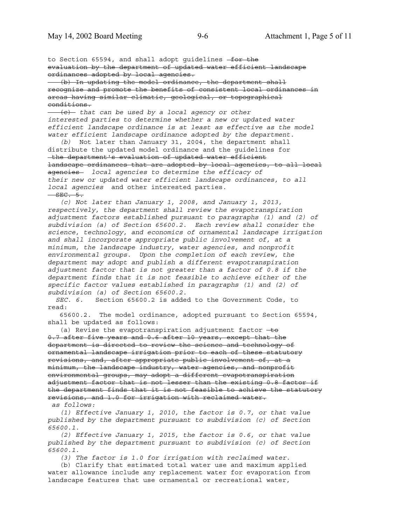to Section 65594, and shall adopt guidelines -for the evaluation by the department of updated water efficient landscape ordinances adopted by local agencies.

 (b) In updating the model ordinance, the department shall recognize and promote the benefits of consistent local ordinances in areas having similar climatic, geological, or topographical conditions.

 (c) *that can be used by a local agency or other interested parties to determine whether a new or updated water efficient landscape ordinance is at least as effective as the model water efficient landscape ordinance adopted by the department.*

 *(b)* Not later than January 31, 2004, the department shall distribute the updated model ordinance and the guidelines for the department's evaluation of updated water efficient landscape ordinances that are adopted by local agencies, to all local agencies *local agencies to determine the efficacy of their new or updated water efficient landscape ordinances, to all local agencies* and other interested parties.  $SEC. 5.$ 

 *(c) Not later than January 1, 2008, and January 1, 2013, respectively, the department shall review the evapotranspiration adjustment factors established pursuant to paragraphs (1) and (2) of subdivision (a) of Section 65600.2. Each review shall consider the science, technology, and economics of ornamental landscape irrigation and shall incorporate appropriate public involvement of, at a minimum, the landscape industry, water agencies, and nonprofit environmental groups. Upon the completion of each review, the department may adopt and publish a different evapotranspiration adjustment factor that is not greater than a factor of 0.8 if the department finds that it is not feasible to achieve either of the specific factor values established in paragraphs (1) and (2) of subdivision (a) of Section 65600.2.*

 *SEC. 6.* Section 65600.2 is added to the Government Code, to read:

 65600.2. The model ordinance, adopted pursuant to Section 65594, shall be updated as follows:

(a) Revise the evapotranspiration adjustment factor  $\pm\Theta$ 0.7 after five years and 0.6 after 10 years, except that the department is directed to review the science and technology of ornamental landscape irrigation prior to each of these statutory revisions, and, after appropriate public involvement of, at a minimum, the landscape industry, water agencies, and nonprofit environmental groups, may adopt a different evapotranspiration adjustment factor that is not lesser than the existing 0.8 factor if the department finds that it is not feasible to achieve the statutory revisions, and 1.0 for irrigation with reclaimed water.  *as follows:*

 *(1) Effective January 1, 2010, the factor is 0.7, or that value published by the department pursuant to subdivision (c) of Section 65600.1.*

 *(2) Effective January 1, 2015, the factor is 0.6, or that value published by the department pursuant to subdivision (c) of Section 65600.1.*

 *(3) The factor is 1.0 for irrigation with reclaimed water.*

 (b) Clarify that estimated total water use and maximum applied water allowance include any replacement water for evaporation from landscape features that use ornamental or recreational water,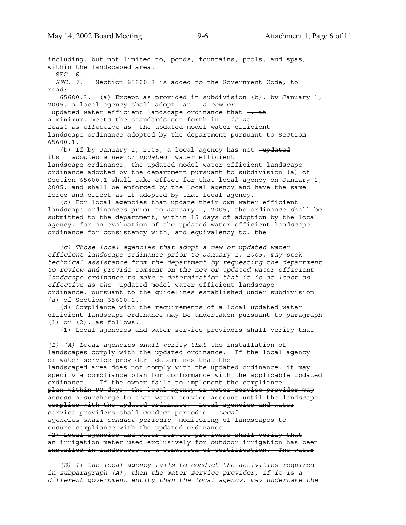including, but not limited to, ponds, fountains, pools, and spas, within the landscaped area.  $-$ SEC.  $6.$  *SEC. 7.* Section 65600.3 is added to the Government Code, to read: 65600.3. (a) Except as provided in subdivision (b), by January 1, 2005, a local agency shall adopt - an a new or updated water efficient landscape ordinance that  $\frac{1}{2}$ a minimum, meets the standards set forth in *is at least as effective as* the updated model water efficient landscape ordinance adopted by the department pursuant to Section 65600.1. (b) If by January 1, 2005, a local agency has not -updated its *adopted a new or updated* water efficient

landscape ordinance, the updated model water efficient landscape ordinance adopted by the department pursuant to subdivision (a) of Section 65600.1 shall take effect for that local agency on January 1, 2005, and shall be enforced by the local agency and have the same force and effect as if adopted by that local agency.

 (c) For local agencies that update their own water efficient landscape ordinances prior to January 1, 2005, the ordinance shall be submitted to the department, within 15 days of adoption by the local agency, for an evaluation of the updated water efficient landscape ordinance for consistency with, and equivalency to, the

 *(c) Those local agencies that adopt a new or updated water efficient landscape ordinance prior to January 1, 2005, may seek technical assistance from the department by requesting the department to review and provide comment on the new or updated water efficient landscape ordinance to make a determination that it is at least as effective as the* updated model water efficient landscape ordinance, pursuant to the guidelines established under subdivision (a) of Section 65600.1.

 (d) Compliance with the requirements of a local updated water efficient landscape ordinance may be undertaken pursuant to paragraph (1) or (2), as follows:

(1) Local agencies and water service providers shall verify that

*(1) (A) Local agencies shall verify that* the installation of landscapes comply with the updated ordinance. If the local agency or water service provider determines that the landscaped area does not comply with the updated ordinance, it may specify a compliance plan for conformance with the applicable updated ordinance. <del>If the owner fails to implement the compliance</del> plan within 90 days, the local agency or water service provider may assess a surcharge to that water service account until the landscape complies with the updated ordinance. Local agencies and water service providers shall conduct periodic- Local *agencies shall conduct periodic* monitoring of landscapes to ensure compliance with the updated ordinance. (2) Local agencies and water service providers shall verify that an irrigation meter used exclusively for outdoor irrigation has been installed in landscapes as a condition of certification. The water

 *(B) If the local agency fails to conduct the activities required in subparagraph (A), then the water service provider, if it is a different government entity than the local agency, may undertake the*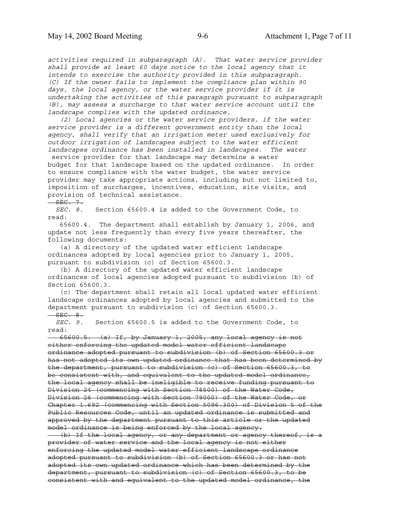*activities required in subparagraph (A). That water service provider shall provide at least 60 days notice to the local agency that it intends to exercise the authority provided in this subparagraph. (C) If the owner fails to implement the compliance plan within 90 days, the local agency, or the water service provider if it is undertaking the activities of this paragraph pursuant to subparagraph (B), may assess a surcharge to that water service account until the landscape complies with the updated ordinance.*

 *(2) Local agencies or the water service providers, if the water service provider is a different government entity than the local agency, shall verify that an irrigation meter used exclusively for outdoor irrigation of landscapes subject to the water efficient landscapes ordinance has been installed in landscapes. The water*

 service provider for that landscape may determine a water budget for that landscape based on the updated ordinance. In order to ensure compliance with the water budget, the water service provider may take appropriate actions, including but not limited to, imposition of surcharges, incentives, education, site visits, and provision of technical assistance.

 $SEC. 7.$ 

 *SEC. 8.* Section 65600.4 is added to the Government Code, to read:

 65600.4. The department shall establish by January 1, 2006, and update not less frequently than every five years thereafter, the following documents:

 (a) A directory of the updated water efficient landscape ordinances adopted by local agencies prior to January 1, 2005, pursuant to subdivision (c) of Section 65600.3.

 (b) A directory of the updated water efficient landscape ordinances of local agencies adopted pursuant to subdivision (b) of Section 65600.3.

 (c) The department shall retain all local updated water efficient landscape ordinances adopted by local agencies and submitted to the department pursuant to subdivision (c) of Section 65600.3.  $-$ SEC.  $8.$ 

 *SEC. 9.* Section 65600.5 is added to the Government Code, to read:

 65600.5. (a) If, by January 1, 2005, any local agency is not either enforcing the updated model water efficient landscape ordinance adopted pursuant to subdivision (b) of Section 65600.3 or has not adopted its own updated ordinance that has been determined by the department, pursuant to subdivision (c) of Section 65600.3, to be consistent with, and equivalent to the updated model ordinance, the local agency shall be ineligible to receive funding pursuant to Division 24 (commencing with Section 78500) of the Water Code, Division 26 (commencing with Section 79000) of the Water Code, or Chapter 1.692 (commencing with Section 5096.300) of Division 5 of the Public Resources Code, until an updated ordinance is submitted and approved by the department pursuant to this article or the updated model ordinance is being enforced by the local agency.

 (b) If the local agency, or any department or agency thereof, is a provider of water service and the local agency is not either enforcing the updated model water efficient landscape ordinance adopted pursuant to subdivision (b) of Section 65600.3 or has not adopted its own updated ordinance which has been determined by the department, pursuant to subdivision (c) of Section 65600.3, to be consistent with and equivalent to the updated model ordinance, the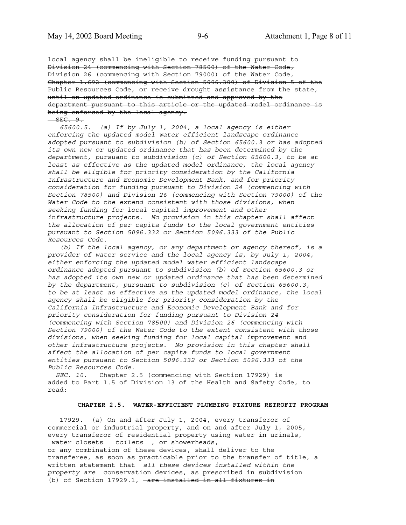local agency shall be ineligible to receive funding pursuant to Division 24 (commencing with Section 78500) of the Water Code, Division 26 (commencing with Section 79000) of the Water Code, Chapter 1.692 (commencing with Section 5096.300) of Division 5 of the Public Resources Code, or receive drought assistance from the state, until an updated ordinance is submitted and approved by the department pursuant to this article or the updated model ordinance is being enforced by the local agency.

 $SEC. 9.$ 

 *65600.5. (a) If by July 1, 2004, a local agency is either enforcing the updated model water efficient landscape ordinance adopted pursuant to subdivision (b) of Section 65600.3 or has adopted its own new or updated ordinance that has been determined by the department, pursuant to subdivision (c) of Section 65600.3, to be at least as effective as the updated model ordinance, the local agency shall be eligible for priority consideration by the California Infrastructure and Economic Development Bank, and for priority consideration for funding pursuant to Division 24 (commencing with Section 78500) and Division 26 (commencing with Section 79000) of the Water Code to the extend consistent with those divisions, when seeking funding for local capital improvement and other infrastructure projects. No provision in this chapter shall affect the allocation of per capita funds to the local government entities pursuant to Section 5096.332 or Section 5096.333 of the Public Resources Code.*

 *(b) If the local agency, or any department or agency thereof, is a provider of water service and the local agency is, by July 1, 2004, either enforcing the updated model water efficient landscape ordinance adopted pursuant to subdivision (b) of Section 65600.3 or has adopted its own new or updated ordinance that has been determined by the department, pursuant to subdivision (c) of Section 65600.3, to be at least as effective as the updated model ordinance, the local agency shall be eligible for priority consideration by the California Infrastructure and Economic Development Bank and for priority consideration for funding pursuant to Division 24 (commencing with Section 78500) and Division 26 (commencing with Section 79000) of the Water Code to the extent consistent with those divisions, when seeking funding for local capital improvement and other infrastructure projects. No provision in this chapter shall affect the allocation of per capita funds to local government entities pursuant to Section 5096.332 or Section 5096.333 of the Public Resources Code.*

 *SEC. 10.* Chapter 2.5 (commencing with Section 17929) is added to Part 1.5 of Division 13 of the Health and Safety Code, to read:

#### **CHAPTER 2.5. WATER-EFFICIENT PLUMBING FIXTURE RETROFIT PROGRAM**

 17929. (a) On and after July 1, 2004, every transferor of commercial or industrial property, and on and after July 1, 2005, every transferor of residential property using water in urinals, water closets *toilets* , or showerheads,

or any combination of these devices, shall deliver to the transferee, as soon as practicable prior to the transfer of title, a written statement that *all these devices installed within the property are* conservation devices, as prescribed in subdivision (b) of Section 17929.1, -are installed in all fixtures in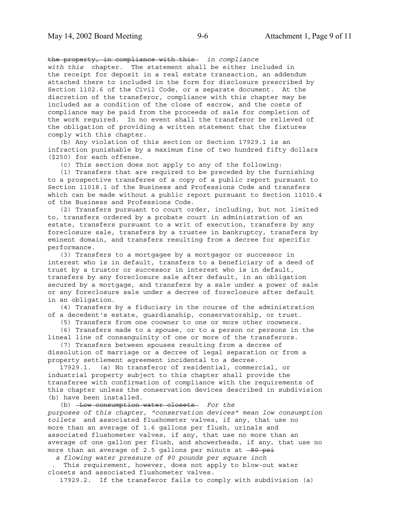the property, in compliance with this- in compliance *with this* chapter. The statement shall be either included in the receipt for deposit in a real estate transaction, an addendum attached there to included in the form for disclosure prescribed by Section 1102.6 of the Civil Code, or a separate document. At the discretion of the transferor, compliance with this chapter may be included as a condition of the close of escrow, and the costs of compliance may be paid from the proceeds of sale for completion of the work required. In no event shall the transferor be relieved of the obligation of providing a written statement that the fixtures comply with this chapter.

 (b) Any violation of this section or Section 17929.1 is an infraction punishable by a maximum fine of two hundred fifty dollars (\$250) for each offense.

(c) This section does not apply to any of the following:

 (1) Transfers that are required to be preceded by the furnishing to a prospective transferee of a copy of a public report pursuant to Section 11018.1 of the Business and Professions Code and transfers which can be made without a public report pursuant to Section 11010.4 of the Business and Professions Code.

 (2) Transfers pursuant to court order, including, but not limited to, transfers ordered by a probate court in administration of an estate, transfers pursuant to a writ of execution, transfers by any foreclosure sale, transfers by a trustee in bankruptcy, transfers by eminent domain, and transfers resulting from a decree for specific performance.

 (3) Transfers to a mortgagee by a mortgagor or successor in interest who is in default, transfers to a beneficiary of a deed of trust by a trustor or successor in interest who is in default, transfers by any foreclosure sale after default, in an obligation secured by a mortgage, and transfers by a sale under a power of sale or any foreclosure sale under a decree of foreclosure after default in an obligation.

 (4) Transfers by a fiduciary in the course of the administration of a decedent's estate, guardianship, conservatorship, or trust.

(5) Transfers from one coowner to one or more other coowners.

 (6) Transfers made to a spouse, or to a person or persons in the lineal line of consanguinity of one or more of the transferors.

 (7) Transfers between spouses resulting from a decree of dissolution of marriage or a decree of legal separation or from a property settlement agreement incidental to a decree.

 17929.1. (a) No transferor of residential, commercial, or industrial property subject to this chapter shall provide the transferee with confirmation of compliance with the requirements of this chapter unless the conservation devices described in subdivision (b) have been installed.

 (b) Low consumption water closets *For the purposes of this chapter, "conservation devices" mean low consumption toilets* and associated flushometer valves, if any, that use no more than an average of 1.6 gallons per flush, urinals and associated flushometer valves, if any, that use no more than an average of one gallon per flush, and showerheads, if any, that use no more than an average of 2.5 gallons per minute at  $-80$  psi

 *a flowing water pressure of 80 pounds per square inch*

 . This requirement, however, does not apply to blow-out water closets and associated flushometer valves.

17929.2. If the transferor fails to comply with subdivision (a)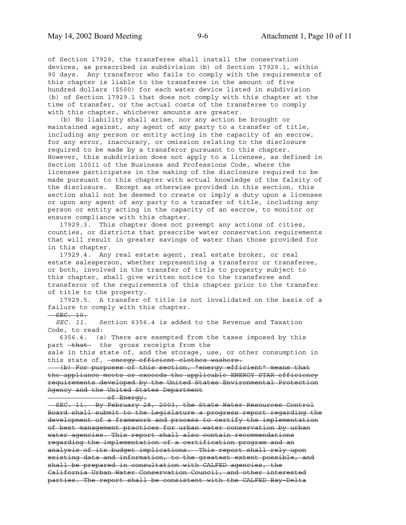of Section 17929, the transferee shall install the conservation devices, as prescribed in subdivision (b) of Section 17929.1, within 90 days. Any transferor who fails to comply with the requirements of this chapter is liable to the transferee in the amount of five hundred dollars (\$500) for each water device listed in subdivision (b) of Section 17929.1 that does not comply with this chapter at the time of transfer, or the actual costs of the transferee to comply with this chapter, whichever amounts are greater.

 (b) No liability shall arise, nor any action be brought or maintained against, any agent of any party to a transfer of title, including any person or entity acting in the capacity of an escrow, for any error, inaccuracy, or omission relating to the disclosure required to be made by a transferor pursuant to this chapter. However, this subdivision does not apply to a licensee, as defined in Section 10011 of the Business and Professions Code, where the licensee participates in the making of the disclosure required to be made pursuant to this chapter with actual knowledge of the falsity of the disclosure. Except as otherwise provided in this section, this section shall not be deemed to create or imply a duty upon a licensee or upon any agent of any party to a transfer of title, including any person or entity acting in the capacity of an escrow, to monitor or ensure compliance with this chapter.

 17929.3. This chapter does not preempt any actions of cities, counties, or districts that prescribe water conservation requirements that will result in greater savings of water than those provided for in this chapter.

 17929.4. Any real estate agent, real estate broker, or real estate salesperson, whether representing a transferor or transferee, or both, involved in the transfer of title to property subject to this chapter, shall give written notice to the transferee and transferor of the requirements of this chapter prior to the transfer of title to the property.

 17929.5. A transfer of title is not invalidated on the basis of a failure to comply with this chapter.

 $-$  SEC.  $10$ .

 *SEC. 11.* Section 6356.4 is added to the Revenue and Taxation Code, to read:

 6356.4. (a) There are exempted from the taxes imposed by this part that the gross receipts from the

sale in this state of, and the storage, use, or other consumption in this state of, -energy efficient clothes washers.

 (b) For purposes of this section, "energy efficient" means that the appliance meets or exceeds the applicable ENERGY STAR efficiency requirements developed by the United States Environmental Protection Agency and the United States Department

of Energy.

 SEC. 11. By February 28, 2003, the State Water Resources Control Board shall submit to the Legislature a progress report regarding the development of a framework and process to certify the implementation of best management practices for urban water conservation by urban water agencies. This report shall also contain recommendations regarding the implementation of a certification program and an analysis of its budget implications. This report shall rely upon existing data and information, to the greatest extent possible, and shall be prepared in consultation with CALFED agencies, the California Urban Water Conservation Council, and other interested parties. The report shall be consistent with the CALFED Bay-Delta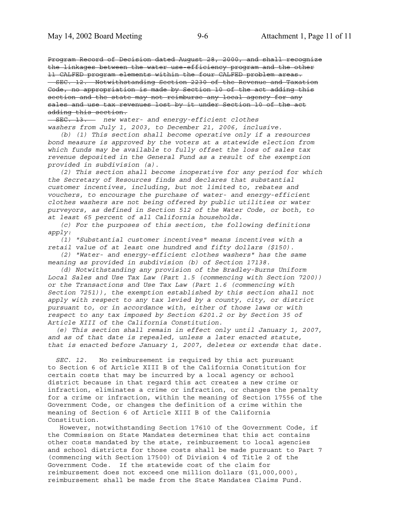Program Record of Decision dated August 28, 2000, and shall recognize the linkages between the water use-efficiency program and the other 11 CALFED program elements within the four CALFED problem areas. SEC. 12. Notwithstanding Section 2230 of the Revenue and Taxation Code, no appropriation is made by Section 10 of the act adding this section and the state may not reimburse any local agency for any sales and use tax revenues lost by it under Section 10 of the act adding this section.

 SEC. 13. *new water- and energy-efficient clothes washers from July 1, 2003, to December 21, 2006, inclusive.*

 *(b) (1) This section shall become operative only if a resources bond measure is approved by the voters at a statewide election from which funds may be available to fully offset the loss of sales tax revenue deposited in the General Fund as a result of the exemption provided in subdivision (a).*

 *(2) This section shall become inoperative for any period for which the Secretary of Resources finds and declares that substantial customer incentives, including, but not limited to, rebates and vouchers, to encourage the purchase of water- and energy-efficient clothes washers are not being offered by public utilities or water purveyors, as defined in Section 512 of the Water Code, or both, to at least 65 percent of all California households.*

 *(c) For the purposes of this section, the following definitions apply:*

 *(1) "Substantial customer incentives" means incentives with a retail value of at least one hundred and fifty dollars (\$150).*

 *(2) "Water- and energy-efficient clothes washers" has the same meaning as provided in subdivision (b) of Section 17138.*

 *(d) Notwithstanding any provision of the Bradley-Burns Uniform Local Sales and Use Tax Law (Part 1.5 (commencing with Section 7200)) or the Transactions and Use Tax Law (Part 1.6 (commencing with Section 7251)), the exemption established by this section shall not apply with respect to any tax levied by a county, city, or district pursuant to, or in accordance with, either of those laws or with respect to any tax imposed by Section 6201.2 or by Section 35 of Article XIII of the California Constitution.*

 *(e) This section shall remain in effect only until January 1, 2007, and as of that date is repealed, unless a later enacted statute, that is enacted before January 1, 2007, deletes or extends that date.*

 *SEC. 12.* No reimbursement is required by this act pursuant to Section 6 of Article XIII B of the California Constitution for certain costs that may be incurred by a local agency or school district because in that regard this act creates a new crime or infraction, eliminates a crime or infraction, or changes the penalty for a crime or infraction, within the meaning of Section 17556 of the Government Code, or changes the definition of a crime within the meaning of Section 6 of Article XIII B of the California Constitution.

 However, notwithstanding Section 17610 of the Government Code, if the Commission on State Mandates determines that this act contains other costs mandated by the state, reimbursement to local agencies and school districts for those costs shall be made pursuant to Part 7 (commencing with Section 17500) of Division 4 of Title 2 of the Government Code. If the statewide cost of the claim for reimbursement does not exceed one million dollars (\$1,000,000), reimbursement shall be made from the State Mandates Claims Fund.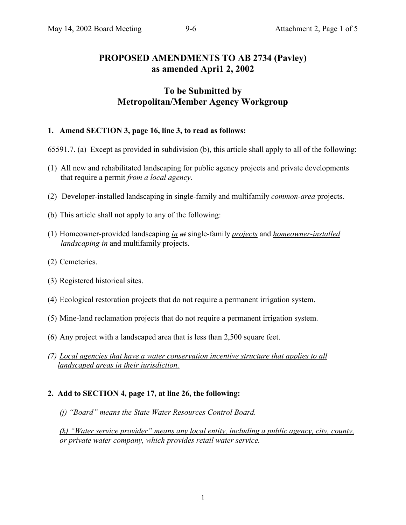# **PROPOSED AMENDMENTS TO AB 2734 (Pavley) as amended Apri1 2, 2002**

# **To be Submitted by Metropolitan/Member Agency Workgroup**

## **1. Amend SECTION 3, page 16, line 3, to read as follows:**

- 65591.7. (a) Except as provided in subdivision (b), this article shall apply to all of the following:
- (1) All new and rehabilitated landscaping for public agency projects and private developments that require a permit *from a local agency*.
- (2) Developer-installed landscaping in single-family and multifamily *common-area* projects.
- (b) This article shall not apply to any of the following:
- (1) Homeowner-provided landscaping *in at* single-family *projects* and *homeowner-installed landscaping in and multifamily projects.*
- (2) Cemeteries.
- (3) Registered historical sites.
- (4) Ecological restoration projects that do not require a permanent irrigation system.
- (5) Mine-land reclamation projects that do not require a permanent irrigation system.
- (6) Any project with a landscaped area that is less than 2,500 square feet.
- *(7) Local agencies that have a water conservation incentive structure that applies to all landscaped areas in their jurisdiction.*

### **2. Add to SECTION 4, page 17, at line 26, the following:**

*(j) "Board" means the State Water Resources Control Board.*

*(k) "Water service provider" means any local entity, including a public agency, city, county, or private water company, which provides retail water service.*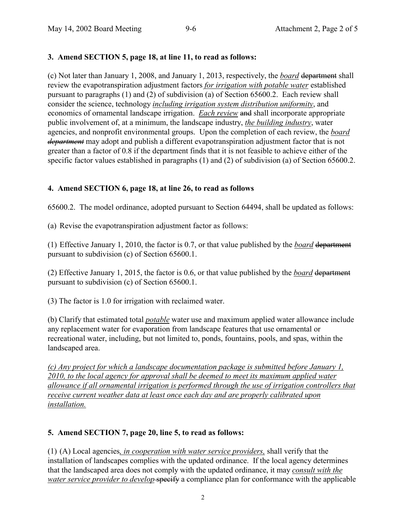# **3. Amend SECTION 5, page 18, at line 11, to read as follows:**

(c) Not later than January 1, 2008, and January 1, 2013, respectively, the *board* department shall review the evapotranspiration adjustment factors *for irrigation with potable water* established pursuant to paragraphs (1) and (2) of subdivision (a) of Section 65600.2. Each review shall consider the science, technology *including irrigation system distribution uniformity*, and economics of ornamental landscape irrigation. *Each review* and shall incorporate appropriate public involvement of, at a minimum, the landscape industry, *the building industry*, water agencies, and nonprofit environmental groups. Upon the completion of each review, the *board department* may adopt and publish a different evapotranspiration adjustment factor that is not greater than a factor of 0.8 if the department finds that it is not feasible to achieve either of the specific factor values established in paragraphs (1) and (2) of subdivision (a) of Section 65600.2.

# **4. Amend SECTION 6, page 18, at line 26, to read as follows**

65600.2. The model ordinance, adopted pursuant to Section 64494, shall be updated as follows:

(a) Revise the evapotranspiration adjustment factor as follows:

(1) Effective January 1, 2010, the factor is 0.7, or that value published by the *board* department pursuant to subdivision (c) of Section 65600.1.

(2) Effective January 1, 2015, the factor is 0.6, or that value published by the *board* department pursuant to subdivision (c) of Section 65600.1.

(3) The factor is 1.0 for irrigation with reclaimed water.

(b) Clarify that estimated total *potable* water use and maximum applied water allowance include any replacement water for evaporation from landscape features that use ornamental or recreational water, including, but not limited to, ponds, fountains, pools, and spas, within the landscaped area.

*(c) Any project for which a landscape documentation package is submitted before January 1, 2010, to the local agency for approval shall be deemed to meet its maximum applied water allowance if all ornamental irrigation is performed through the use of irrigation controllers that receive current weather data at least once each day and are properly calibrated upon installation.*

# **5. Amend SECTION 7, page 20, line 5, to read as follows:**

(1) (A) Local agencies*, in cooperation with water service providers,* shall verify that the installation of landscapes complies with the updated ordinance. If the local agency determines that the landscaped area does not comply with the updated ordinance, it may *consult with the water service provider to develop-specify* a compliance plan for conformance with the applicable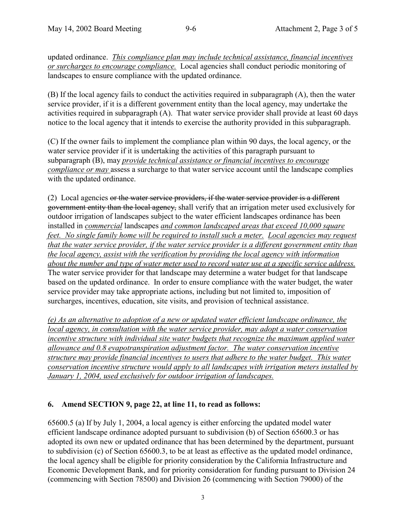updated ordinance. *This compliance plan may include technical assistance, financial incentives or surcharges to encourage compliance.* Local agencies shall conduct periodic monitoring of landscapes to ensure compliance with the updated ordinance.

(B) If the local agency fails to conduct the activities required in subparagraph (A), then the water service provider, if it is a different government entity than the local agency, may undertake the activities required in subparagraph (A). That water service provider shall provide at least 60 days notice to the local agency that it intends to exercise the authority provided in this subparagraph.

(C) If the owner fails to implement the compliance plan within 90 days, the local agency, or the water service provider if it is undertaking the activities of this paragraph pursuant to subparagraph (B), may *provide technical assistance or financial incentives to encourage compliance or may* assess a surcharge to that water service account until the landscape complies with the updated ordinance.

(2) Local agencies or the water service providers, if the water service provider is a different government entity than the local agency, shall verify that an irrigation meter used exclusively for outdoor irrigation of landscapes subject to the water efficient landscapes ordinance has been installed in *commercial* landscapes *and common landscaped areas that exceed 10,000 square feet. No single family home will be required to install such a meter. Local agencies may request that the water service provider, if the water service provider is a different government entity than the local agency, assist with the verification by providing the local agency with information about the number and type of water meter used to record water use at a specific service address.* The water service provider for that landscape may determine a water budget for that landscape based on the updated ordinance. In order to ensure compliance with the water budget, the water service provider may take appropriate actions, including but not limited to, imposition of surcharges, incentives, education, site visits, and provision of technical assistance.

*(e) As an alternative to adoption of a new or updated water efficient landscape ordinance, the local agency, in consultation with the water service provider, may adopt a water conservation incentive structure with individual site water budgets that recognize the maximum applied water allowance and 0.8 evapotranspiration adjustment factor. The water conservation incentive structure may provide financial incentives to users that adhere to the water budget. This water conservation incentive structure would apply to all landscapes with irrigation meters installed by January 1, 2004, used exclusively for outdoor irrigation of landscapes.*

# **6. Amend SECTION 9, page 22, at line 11, to read as follows:**

65600.5 (a) If by July 1, 2004, a local agency is either enforcing the updated model water efficient landscape ordinance adopted pursuant to subdivision (b) of Section 65600.3 or has adopted its own new or updated ordinance that has been determined by the department, pursuant to subdivision (c) of Section 65600.3, to be at least as effective as the updated model ordinance, the local agency shall be eligible for priority consideration by the California Infrastructure and Economic Development Bank, and for priority consideration for funding pursuant to Division 24 (commencing with Section 78500) and Division 26 (commencing with Section 79000) of the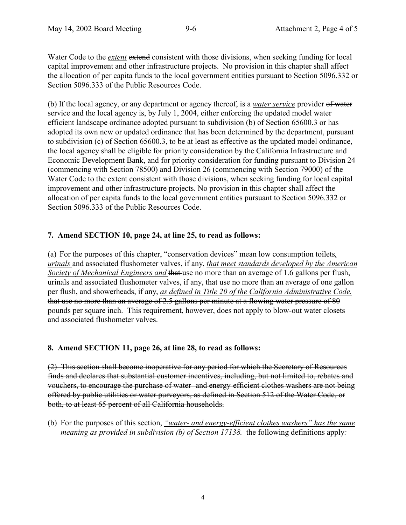Water Code to the *extent* extend consistent with those divisions, when seeking funding for local capital improvement and other infrastructure projects. No provision in this chapter shall affect the allocation of per capita funds to the local government entities pursuant to Section 5096.332 or Section 5096.333 of the Public Resources Code.

(b) If the local agency, or any department or agency thereof, is a *water service* provider of water service and the local agency is, by July 1, 2004, either enforcing the updated model water efficient landscape ordinance adopted pursuant to subdivision (b) of Section 65600.3 or has adopted its own new or updated ordinance that has been determined by the department, pursuant to subdivision (c) of Section 65600.3, to be at least as effective as the updated model ordinance, the local agency shall be eligible for priority consideration by the California Infrastructure and Economic Development Bank, and for priority consideration for funding pursuant to Division 24 (commencing with Section 78500) and Division 26 (commencing with Section 79000) of the Water Code to the extent consistent with those divisions, when seeking funding for local capital improvement and other infrastructure projects. No provision in this chapter shall affect the allocation of per capita funds to the local government entities pursuant to Section 5096.332 or Section 5096.333 of the Public Resources Code.

# **7. Amend SECTION 10, page 24, at line 25, to read as follows:**

(a) For the purposes of this chapter, "conservation devices" mean low consumption toilets*, urinals* and associated flushometer valves, if any, *that meet standards developed by the American Society of Mechanical Engineers and* that use no more than an average of 1.6 gallons per flush, urinals and associated flushometer valves, if any, that use no more than an average of one gallon per flush, and showerheads, if any, *as defined in Title 20 of the California Administrative Code.* that use no more than an average of 2.5 gallons per minute at a flowing water pressure of 80 pounds per square inch. This requirement, however, does not apply to blow-out water closets and associated flushometer valves.

# **8. Amend SECTION 11, page 26, at line 28, to read as follows:**

(2) This section shall become inoperative for any period for which the Secretary of Resources finds and declares that substantial customer incentives, including, but not limited to, rebates and vouchers, to encourage the purchase of water- and energy-efficient clothes washers are not being offered by public utilities or water purveyors, as defined in Section 512 of the Water Code, or both, to at least 65 percent of all California households.

(b) For the purposes of this section, *"water- and energy-efficient clothes washers" has the same meaning as provided in subdivision (b) of Section 17138.* the following definitions apply*:*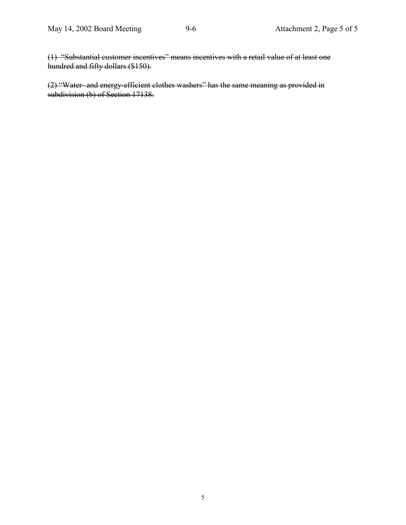(1) "Substantial customer incentives" means incentives with a retail value of at least one hundred and fifty dollars (\$150).

(2) "Water- and energy-efficient clothes washers" has the same meaning as provided in subdivision (b) of Section 17138.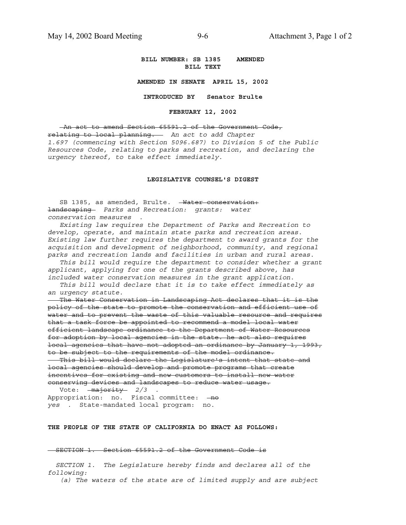**BILL NUMBER: SB 1385 AMENDED BILL TEXT**

**AMENDED IN SENATE APRIL 15, 2002**

**INTRODUCED BY Senator Brulte**

**FEBRUARY 12, 2002**

 An act to amend Section 65591.2 of the Government Code, relating to local planning. *An act to add Chapter 1.697 (commencing with Section 5096.687) to Division 5 of the Public Resources Code, relating to parks and recreation, and declaring the urgency thereof, to take effect immediately.*

#### **LEGISLATIVE COUNSEL'S DIGEST**

SB 1385, as amended, Brulte. - Water conservation: landscaping *Parks and Recreation: grants: water conservation measures* .

 *Existing law requires the Department of Parks and Recreation to develop, operate, and maintain state parks and recreation areas. Existing law further requires the department to award grants for the acquisition and development of neighborhood, community, and regional parks and recreation lands and facilities in urban and rural areas.*

 *This bill would require the department to consider whether a grant applicant, applying for one of the grants described above, has included water conservation measures in the grant application.*

 *This bill would declare that it is to take effect immediately as an urgency statute.*

 The Water Conservation in Landscaping Act declares that it is the policy of the state to promote the conservation and efficient use of water and to prevent the waste of this valuable resource and requires that a task force be appointed to recommend a model local water efficient landscape ordinance to the Department of Water Resources for adoption by local agencies in the state. he act also requires local agencies that have not adopted an ordinance by January 1, 1993, to be subject to the requirements of the model ordinance. This bill would declare the Legislature's intent that state and local agencies should develop and promote programs that create incentives for existing and new customers to install new water conserving devices and landscapes to reduce water usage.

 Vote: majority *2/3* . Appropriation: no. Fiscal committee: - no *yes* . State-mandated local program: no.

#### **THE PEOPLE OF THE STATE OF CALIFORNIA DO ENACT AS FOLLOWS:**

#### SECTION 1. Section 65591.2 of the Government Code is

 *SECTION 1. The Legislature hereby finds and declares all of the following:*

 *(a) The waters of the state are of limited supply and are subject*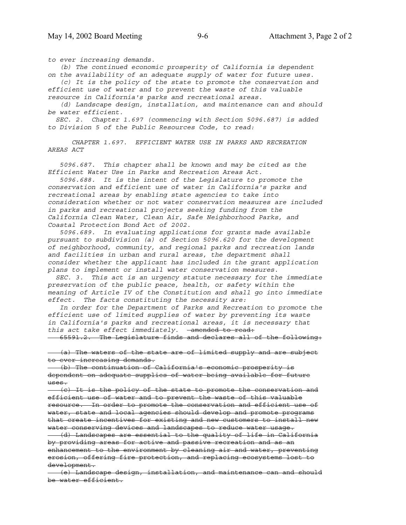*to ever increasing demands.*

 *(b) The continued economic prosperity of California is dependent on the availability of an adequate supply of water for future uses.*

 *(c) It is the policy of the state to promote the conservation and efficient use of water and to prevent the waste of this valuable resource in California's parks and recreational areas.*

 *(d) Landscape design, installation, and maintenance can and should be water efficient.*

 *SEC. 2. Chapter 1.697 (commencing with Section 5096.687) is added to Division 5 of the Public Resources Code, to read:*

 *CHAPTER 1.697. EFFICIENT WATER USE IN PARKS AND RECREATION AREAS ACT*

 *5096.687. This chapter shall be known and may be cited as the Efficient Water Use in Parks and Recreation Areas Act.*

 *5096.688. It is the intent of the Legislature to promote the conservation and efficient use of water in California's parks and recreational areas by enabling state agencies to take into consideration whether or not water conservation measures are included in parks and recreational projects seeking funding from the California Clean Water, Clean Air, Safe Neighborhood Parks, and Coastal Protection Bond Act of 2002.*

 *5096.689. In evaluating applications for grants made available pursuant to subdivision (a) of Section 5096.620 for the development of neighborhood, community, and regional parks and recreation lands and facilities in urban and rural areas, the department shall consider whether the applicant has included in the grant application plans to implement or install water conservation measures.*

 *SEC. 3. This act is an urgency statute necessary for the immediate preservation of the public peace, health, or safety within the meaning of Article IV of the Constitution and shall go into immediate effect. The facts constituting the necessity are:*

 *In order for the Department of Parks and Recreation to promote the efficient use of limited supplies of water by preventing its waste in California's parks and recreational areas, it is necessary that this act take effect immediately.* amended to read:

65591.2. The Legislature finds and declares all of the following:

 (a) The waters of the state are of limited supply and are subject to ever increasing demands.

 (b) The continuation of California's economic prosperity is dependent on adequate supplies of water being available for future uses.

 (c) It is the policy of the state to promote the conservation and efficient use of water and to prevent the waste of this valuable resource. In order to promote the conservation and efficient use of water, state and local agencies should develop and promote programs that create incentives for existing and new customers to install new water conserving devices and landscapes to reduce water usage. (d) Landscapes are essential to the quality of life in California by providing areas for active and passive recreation and as an enhancement to the environment by cleaning air and water, preventing

erosion, offering fire protection, and replacing ecosystems lost to development.

 (e) Landscape design, installation, and maintenance can and should be water efficient.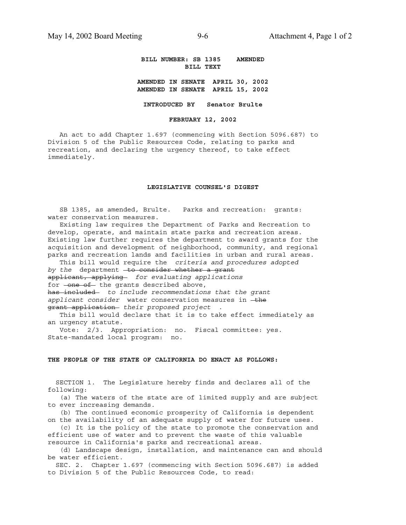**BILL NUMBER: SB 1385 AMENDED BILL TEXT**

**AMENDED IN SENATE APRIL 30, 2002 AMENDED IN SENATE APRIL 15, 2002**

**INTRODUCED BY Senator Brulte**

**FEBRUARY 12, 2002**

 An act to add Chapter 1.697 (commencing with Section 5096.687) to Division 5 of the Public Resources Code, relating to parks and recreation, and declaring the urgency thereof, to take effect immediately.

#### **LEGISLATIVE COUNSEL'S DIGEST**

 SB 1385, as amended, Brulte. Parks and recreation: grants: water conservation measures.

 Existing law requires the Department of Parks and Recreation to develop, operate, and maintain state parks and recreation areas. Existing law further requires the department to award grants for the acquisition and development of neighborhood, community, and regional parks and recreation lands and facilities in urban and rural areas.

 This bill would require the *criteria and procedures adopted by the* department -to consider whether a grant applicant, applying *for evaluating applications* for -one of the grants described above, has included *to include recommendations that the grant* applicant consider water conservation measures in the grant application *their proposed project* .

 This bill would declare that it is to take effect immediately as an urgency statute.

 Vote: 2/3. Appropriation: no. Fiscal committee: yes. State-mandated local program: no.

#### **THE PEOPLE OF THE STATE OF CALIFORNIA DO ENACT AS FOLLOWS:**

 SECTION 1. The Legislature hereby finds and declares all of the following:

 (a) The waters of the state are of limited supply and are subject to ever increasing demands.

 (b) The continued economic prosperity of California is dependent on the availability of an adequate supply of water for future uses.

 (c) It is the policy of the state to promote the conservation and efficient use of water and to prevent the waste of this valuable resource in California's parks and recreational areas.

 (d) Landscape design, installation, and maintenance can and should be water efficient.

 SEC. 2. Chapter 1.697 (commencing with Section 5096.687) is added to Division 5 of the Public Resources Code, to read: